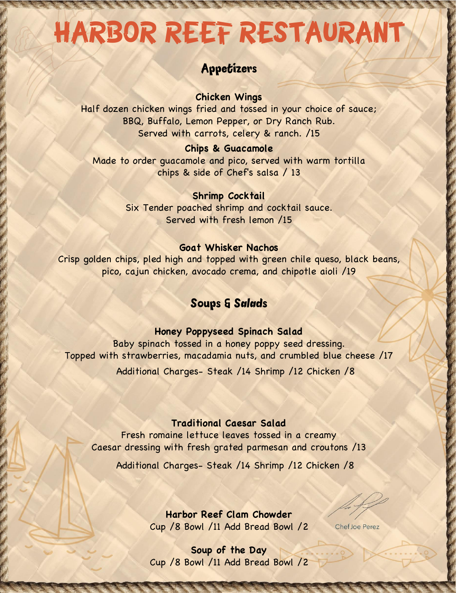# HARBOR REEF RESTAURANT

# Appetizers

**Chicken Wings** 

Half dozen chicken wings fried and tossed in your choice of sauce; BBQ, Buffalo, Lemon Pepper, or Dry Ranch Rub. Served with carrots, celery & ranch. /15

## **Chips & Guacamole**

Made to order guacamole and pico, served with warm tortilla chips & side of Chef's salsa / 13

## **Shrimp Cocktail**

Six Tender poached shrimp and cocktail sauce. Served with fresh lemon /15

# **Goat Whisker Nachos**

Crisp golden chips, pled high and topped with green chile queso, black beans, pico, cajun chicken, avocado crema, and chipotle aioli /19

# Soups & Salads

## **Honey Poppyseed Spinach Salad**

Baby spinach tossed in a honey poppy seed dressing. Topped with strawberries, macadamia nuts, and crumbled blue cheese /17 Additional Charges- Steak /14 Shrimp /12 Chicken /8

## **Traditional Caesar Salad**

Fresh romaine lettuce leaves tossed in a creamy Caesar dressing with fresh grated parmesan and croutons /13

Additional Charges- Steak /14 Shrimp /12 Chicken /8

**Harbor Reef Clam Chowder**  Cup /8 Bowl /11 Add Bread Bowl /2

Chef Joe Perez

**Soup of the Day**  Cup /8 Bowl /11 Add Bread Bowl /2